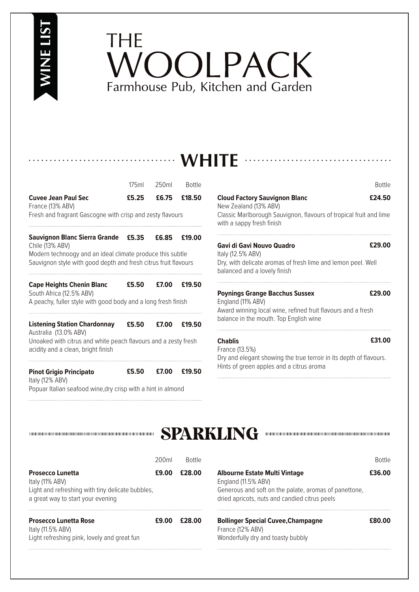# **WINE LIST**

## THE VOOLPACK Farmhouse Pub, Kitchen and Garden

### **WHITE**

|                                                                                                                                                                      | 175ml | 250ml | <b>Bottle</b> |
|----------------------------------------------------------------------------------------------------------------------------------------------------------------------|-------|-------|---------------|
| <b>Cuvee Jean Paul Sec</b><br>France (13% ABV)                                                                                                                       | £5.25 | £6.75 | £18.50        |
| Fresh and fragrant Gascogne with crisp and zesty flavours                                                                                                            |       |       |               |
| Sauvignon Blanc Sierra Grande<br>Chile (13% ABV)<br>Modern technoogy and an ideal climate produce this subtle                                                        | £5.35 | £6.85 | £19.00        |
| Sauvignon style with good depth and fresh citrus fruit flavours                                                                                                      |       |       |               |
| <b>Cape Heights Chenin Blanc</b><br>South Africa (12.5% ABV)<br>A peachy, fuller style with good body and a long fresh finish                                        | £5.50 | £7.00 | £19.50        |
| <b>Listening Station Chardonnay</b><br>Australia (13.0% ABV)<br>Unoaked with citrus and white peach flavours and a zesty fresh<br>acidity and a clean, bright finish | £5.50 | £7.00 | £19.50        |
| <b>Pinot Grigio Principato</b><br>Italy (12% ABV)<br>Popuar Italian seafood wine, dry crisp with a hint in almond                                                    | £5.50 | £7.00 | £19.50        |

**Cloud Factory Sauvignon Blanc** New Zealand (13% ABV) Classic Marlborough Sauvignon, flavours of tropical fruit and lime with a sappy fresh finish **£24.50**

#### **Gavi di Gavi Nouvo Quadro**

**£29.00**

Bottle

Italy (12.5% ABV) Dry, with delicate aromas of fresh lime and lemon peel. Well balanced and a lovely finish

#### **Poynings Grange Bacchus Sussex**

**£29.00**

**£31.00**

England (11% ABV) Award winning local wine, refined fruit flavours and a fresh balance in the mouth. Top English wine

#### **Chablis**

France (13.5%) Dry and elegant showing the true terroir in its depth of flavours. Hints of green apples and a citrus aroma



|                                                                                                                                     | 200 <sub>ml</sub> | <b>Rottle</b> |                                                                                                                                                                       | <b>Rottle</b> |
|-------------------------------------------------------------------------------------------------------------------------------------|-------------------|---------------|-----------------------------------------------------------------------------------------------------------------------------------------------------------------------|---------------|
| <b>Prosecco Lunetta</b><br>Italy (11% ABV)<br>Light and refreshing with tiny delicate bubbles,<br>a great way to start your evening | £9.00             | £28.00        | <b>Albourne Estate Multi Vintage</b><br>England (11.5% ABV)<br>Generous and soft on the palate, aromas of panettone,<br>dried apricots, nuts and candied citrus peels | £36.00        |
| <b>Prosecco Lunetta Rose</b><br>Italy (11.5% ABV)<br>Light refreshing pink, lovely and great fun                                    |                   | £28.00        | <b>Bollinger Special Cuvee, Champagne</b><br>France (12% ABV)<br>Wonderfully dry and toasty bubbly                                                                    | ናጸበ በበ        |